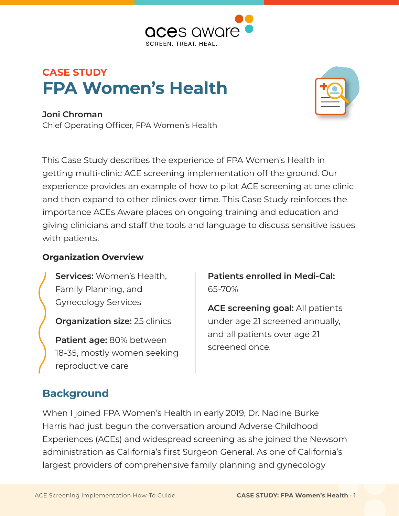

# **CASE STUDY FPA Women's Health**



**Joni Chroman** Chief Operating Officer, FPA Women's Health

This Case Study describes the experience of FPA Women's Health in getting multi-clinic ACE screening implementation off the ground. Our experience provides an example of how to pilot ACE screening at one clinic and then expand to other clinics over time. This Case Study reinforces the importance ACEs Aware places on ongoing training and education and giving clinicians and staff the tools and language to discuss sensitive issues with patients.

### **Organization Overview**

**Services:** Women's Health, Family Planning, and Gynecology Services

**Organization size:** 25 clinics

**Patient age:** 80% between 18-35, mostly women seeking reproductive care

**Patients enrolled in Medi-Cal:** 65-70%

**ACE screening goal:** All patients under age 21 screened annually, and all patients over age 21 screened once.

## **Background**

When I joined FPA Women's Health in early 2019, Dr. Nadine Burke Harris had just begun the conversation around Adverse Childhood Experiences (ACEs) and widespread screening as she joined the Newsom administration as California's first Surgeon General. As one of California's largest providers of comprehensive family planning and gynecology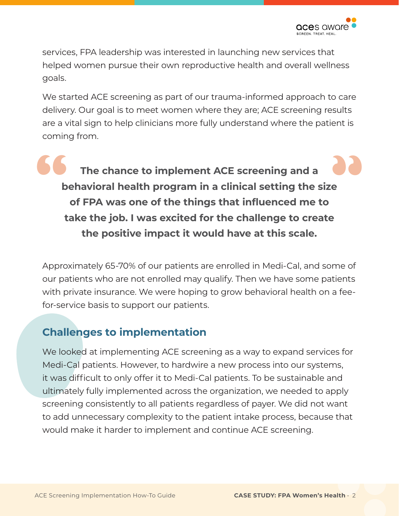services, FPA leadership was interested in launching new services that helped women pursue their own reproductive health and overall wellness goals.

We started ACE screening as part of our trauma-informed approach to care delivery. Our goal is to meet women where they are; ACE screening results are a vital sign to help clinicians more fully understand where the patient is coming from.

**" The chance to implement ACE screening and a behavioral health program in a clinical setting the size of FPA was one of the things that influenced me to take the job. I was excited for the challenge to create "the positive impact it would have at this scale.** 

Approximately 65-70% of our patients are enrolled in Medi-Cal, and some of our patients who are not enrolled may qualify. Then we have some patients with private insurance. We were hoping to grow behavioral health on a feefor-service basis to support our patients.

## **Challenges to implementation**

We looked at implementing ACE screening as a way to expand services for Medi-Cal patients. However, to hardwire a new process into our systems, it was difficult to only offer it to Medi-Cal patients. To be sustainable and ultimately fully implemented across the organization, we needed to apply screening consistently to all patients regardless of payer. We did not want to add unnecessary complexity to the patient intake process, because that would make it harder to implement and continue ACE screening.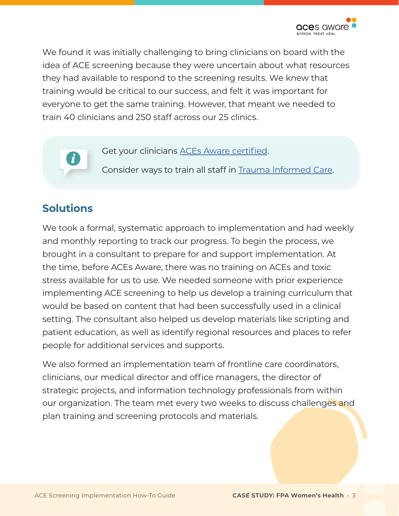

We found it was initially challenging to bring clinicians on board with the idea of ACE screening because they were uncertain about what resources they had available to respond to the screening results. We knew that training would be critical to our success, and felt it was important for everyone to get the same training. However, that meant we needed to train 40 clinicians and 250 staff across our 25 clinics.

Get your clinicians [ACEs Aware certified](https://www.acesaware.org/learn-about-screening/training/).

Consider ways to train all staff in [Trauma Informed Care](https://www.acesaware.org/wp-content/uploads/2021/05/How-ACE-Screening-Toxic-Stress-Treatment-and-Trauma-Informed-Care-Work-Together.pdf).

### **Solutions**

We took a formal, systematic approach to implementation and had weekly and monthly reporting to track our progress. To begin the process, we brought in a consultant to prepare for and support implementation. At the time, before ACEs Aware, there was no training on ACEs and toxic stress available for us to use. We needed someone with prior experience implementing ACE screening to help us develop a training curriculum that would be based on content that had been successfully used in a clinical setting. The consultant also helped us develop materials like scripting and patient education, as well as identify regional resources and places to refer people for additional services and supports.

We also formed an implementation team of frontline care coordinators, clinicians, our medical director and office managers, the director of strategic projects, and information technology professionals from within our organization. The team met every two weeks to discuss challenges and plan training and screening protocols and materials.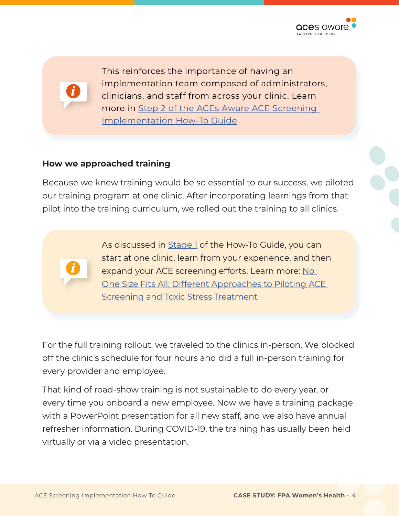

This reinforces the importance of having an implementation team composed of administrators, clinicians, and staff from across your clinic. Learn more in [Step 2 of the ACEs Aware ACE Screening](https://www.acesaware.org/implement-screening/stage-1-prepare-foundation/step-2-engage-leadership-peers/)  [Implementation How-To Guide](https://www.acesaware.org/implement-screening/stage-1-prepare-foundation/step-2-engage-leadership-peers/)

### **How we approached training**

Because we knew training would be so essential to our success, we piloted our training program at one clinic. After incorporating learnings from that pilot into the training curriculum, we rolled out the training to all clinics.

> As discussed in [Stage 1](https://www.acesaware.org/implement-screening/stage-1-prepare-foundation/#:~:text=Stage%201%20provides%20foundational%20information,might%20entail%20at%20your%20practice.&text=You) of the How-To Guide, you can start at one clinic, learn from your experience, and then expand your ACE screening efforts. Learn more: No [One Size Fits All: Different Approaches to Piloting ACE](https://www.acesaware.org/wp-content/uploads/2021/05/No-One-Size-Fits-All-Different-Approaches-to-Piloting-ACE-Screening-and-Toxic-Stress-Treatment.pdf)  **[Screening and Toxic Stress Treatment](https://www.acesaware.org/wp-content/uploads/2021/05/No-One-Size-Fits-All-Different-Approaches-to-Piloting-ACE-Screening-and-Toxic-Stress-Treatment.pdf)**

For the full training rollout, we traveled to the clinics in-person. We blocked off the clinic's schedule for four hours and did a full in-person training for every provider and employee.

That kind of road-show training is not sustainable to do every year, or every time you onboard a new employee. Now we have a training package with a PowerPoint presentation for all new staff, and we also have annual refresher information. During COVID-19, the training has usually been held virtually or via a video presentation.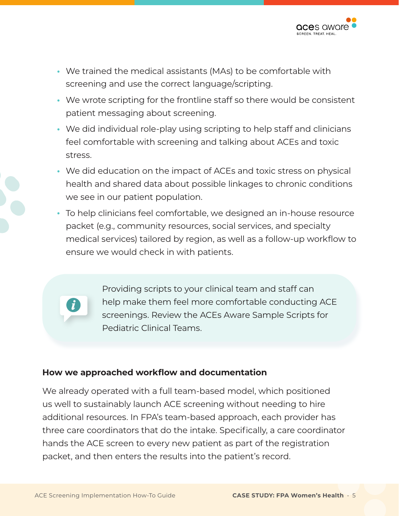

- We trained the medical assistants (MAs) to be comfortable with screening and use the correct language/scripting.
- We wrote scripting for the frontline staff so there would be consistent patient messaging about screening.
- We did individual role-play using scripting to help staff and clinicians feel comfortable with screening and talking about ACEs and toxic stress.
- **•** We did education on the impact of ACEs and toxic stress on physical health and shared data about possible linkages to chronic conditions we see in our patient population.
- **•** To help clinicians feel comfortable, we designed an in-house resource packet (e.g., community resources, social services, and specialty medical services) tailored by region, as well as a follow-up workflow to ensure we would check in with patients.



Providing scripts to your clinical team and staff can help make them feel more comfortable conducting ACE screenings. Review the ACEs Aware Sample Scripts for Pediatric Clinical Teams.

#### **How we approached workflow and documentation**

We already operated with a full team-based model, which positioned us well to sustainably launch ACE screening without needing to hire additional resources. In FPA's team-based approach, each provider has three care coordinators that do the intake. Specifically, a care coordinator hands the ACE screen to every new patient as part of the registration packet, and then enters the results into the patient's record.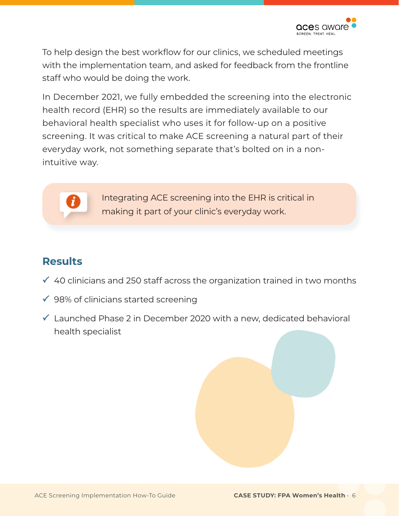To help design the best workflow for our clinics, we scheduled meetings with the implementation team, and asked for feedback from the frontline staff who would be doing the work.

In December 2021, we fully embedded the screening into the electronic health record (EHR) so the results are immediately available to our behavioral health specialist who uses it for follow-up on a positive screening. It was critical to make ACE screening a natural part of their everyday work, not something separate that's bolted on in a nonintuitive way.



Integrating ACE screening into the EHR is critical in making it part of your clinic's everyday work.

## **Results**

- $\checkmark$  40 clinicians and 250 staff across the organization trained in two months
- $\checkmark$  98% of clinicians started screening
- $\checkmark$  Launched Phase 2 in December 2020 with a new, dedicated behavioral health specialist